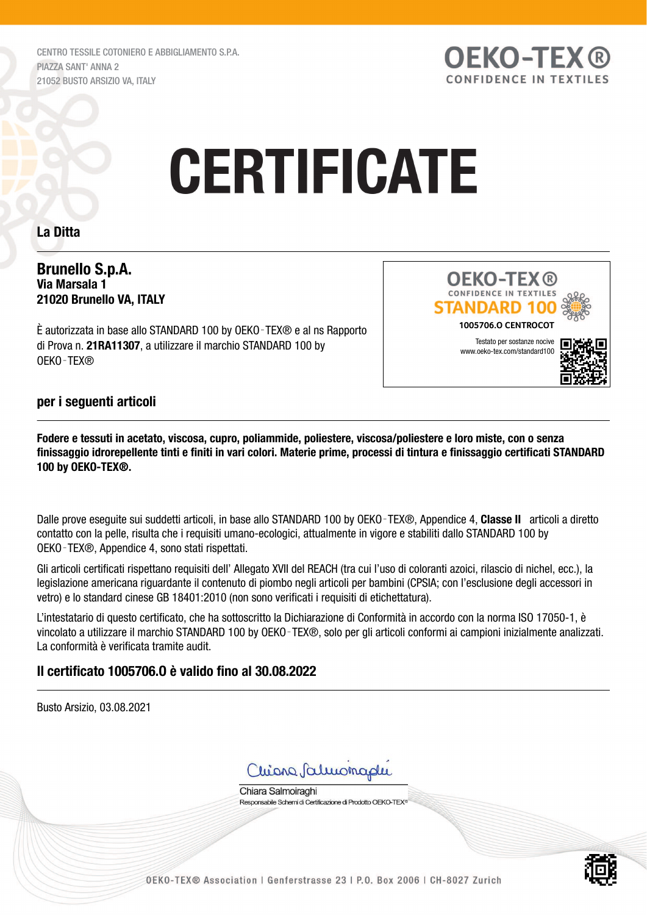CENTRO TESSILE COTONIERO E ABBIGLIAMENTO S.P.A. PIAZZA SANT' ANNA 2 21052 BUSTO ARSIZIO VA, ITALY



# **CERTIFICATE**

#### La Ditta

#### Brunello S.p.A. Via Marsala 1 21020 Brunello VA, ITALY

È autorizzata in base allo STANDARD 100 by OEKO‑TEX® e al ns Rapporto di Prova n. 21RA11307, a utilizzare il marchio STANDARD 100 by OEKO‑TEX®



#### per i seguenti articoli

Fodere e tessuti in acetato, viscosa, cupro, poliammide, poliestere, viscosa/poliestere e loro miste, con o senza finissaggio idrorepellente tinti e finiti in vari colori. Materie prime, processi di tintura e finissaggio certificati STANDARD 100 by OEKO-TEX®.

Dalle prove esequite sui suddetti articoli, in base allo STANDARD 100 by OEKO-TEX®, Appendice 4, Classe II articoli a diretto contatto con la pelle, risulta che i requisiti umano-ecologici, attualmente in vigore e stabiliti dallo STANDARD 100 by OEKO‑TEX®, Appendice 4, sono stati rispettati.

Gli articoli certificati rispettano requisiti dell' Allegato XVII del REACH (tra cui l'uso di coloranti azoici, rilascio di nichel, ecc.), la legislazione americana riguardante il contenuto di piombo negli articoli per bambini (CPSIA; con l'esclusione degli accessori in vetro) e lo standard cinese GB 18401:2010 (non sono verificati i requisiti di etichettatura).

L'intestatario di questo certificato, che ha sottoscritto la Dichiarazione di Conformità in accordo con la norma ISO 17050-1, è vincolato a utilizzare il marchio STANDARD 100 by OEKO‑TEX®, solo per gli articoli conformi ai campioni inizialmente analizzati. La conformità è verificata tramite audit.

#### Il certificato 1005706.O è valido fino al 30.08.2022

Busto Arsizio, 03.08.2021



Chiara Salmoiraghi Responsabile Schemi di Certificazione di Prodotto OEKO-TEX®